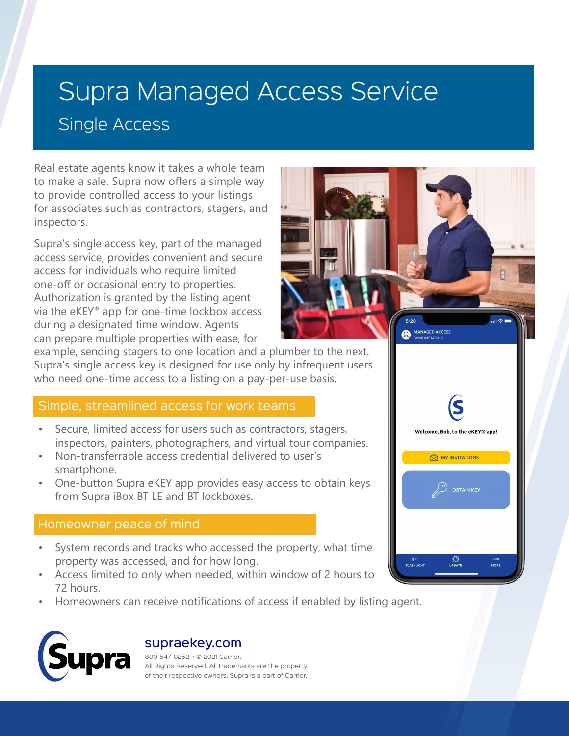# Supra Managed Access Service Single Access

Real estate agents know it takes a whole team to make a sale. Supra now offers a simple way to provide controlled access to your listings for associates such as contractors, stagers, and inspectors.

Supra's single access key, part of the managed access service, provides convenient and secure access for individuals who require limited one-off or occasional entry to properties. Authorization is granted by the listing agent via the eKEY® app for one-time lockbox access during a designated time window. Agents can prepare multiple properties with ease, for



example, sending stagers to one location and a plumber to the next. Supra's single access key is designed for use only by infrequent users who need one-time access to a listing on a pay-per-use basis.

### Simple, streamlined access for work teams

- Secure, limited access for users such as contractors, stagers, inspectors, painters, photographers, and virtual tour companies.
- Non-transferrable access credential delivered to user's smartphone.
- One-button Supra eKEY app provides easy access to obtain keys from Supra iBox BT LE and BT lockboxes.

## Homeowner peace of mind

- System records and tracks who accessed the property, what time property was accessed, and for how long.
- Access limited to only when needed, within window of 2 hours to 72 hours.
- Homeowners can receive notifications of access if enabled by listing agent.



### supraekey.com

800-547-0252 • © 2021 Carrier. All Rights Reserved. All trademarks are the property of their respective owners. Supra is a part of Carrier.